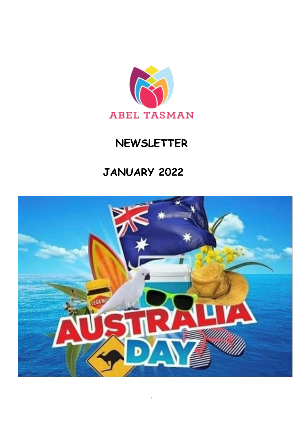

# **NEWSLETTER**

# **JANUARY 2022**



.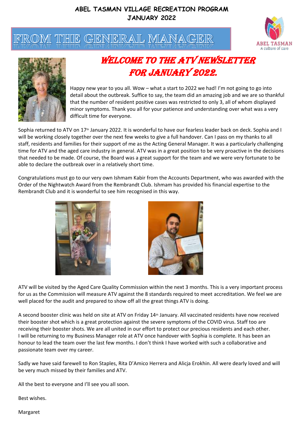



## WELCOME TO THE ATV NEWSLETTER for January 2022.

Happy new year to you all. Wow – what a start to 2022 we had! I'm not going to go into detail about the outbreak. Suffice to say, the team did an amazing job and we are so thankful that the number of resident positive cases was restricted to only 3, all of whom displayed minor symptoms. Thank you all for your patience and understanding over what was a very difficult time for everyone.

Sophia returned to ATV on 17<sup>th</sup> January 2022. It is wonderful to have our fearless leader back on deck. Sophia and I will be working closely together over the next few weeks to give a full handover. Can I pass on my thanks to all staff, residents and families for their support of me as the Acting General Manager. It was a particularly challenging time for ATV and the aged care industry in general. ATV was in a great position to be very proactive in the decisions that needed to be made. Of course, the Board was a great support for the team and we were very fortunate to be able to declare the outbreak over in a relatively short time.

Congratulations must go to our very own Ishmam Kabir from the Accounts Department, who was awarded with the Order of the Nightwatch Award from the Rembrandt Club. Ishmam has provided his financial expertise to the Rembrandt Club and it is wonderful to see him recognised in this way.





ATV will be visited by the Aged Care Quality Commission within the next 3 months. This is a very important process for us as the Commission will measure ATV against the 8 standards required to meet accreditation. We feel we are well placed for the audit and prepared to show off all the great things ATV is doing.

A second booster clinic was held on site at ATV on Friday 14th January. All vaccinated residents have now received their booster shot which is a great protection against the severe symptoms of the COVID virus. Staff too are receiving their booster shots. We are all united in our effort to protect our precious residents and each other. I will be returning to my Business Manager role at ATV once handover with Sophia is complete. It has been an honour to lead the team over the last few months. I don't think I have worked with such a collaborative and passionate team over my career.

Sadly we have said farewell to Ron Staples, Rita D'Amico Herrera and Alicja Erokhin. All were dearly loved and will be very much missed by their families and ATV.

All the best to everyone and I'll see you all soon.

Best wishes.

Margaret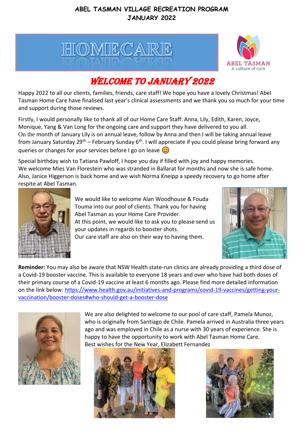



## WELCOME TO JANUARY 2022

Happy 2022 to all our clients, families, friends, care staff! We hope you have a lovely Christmas! Abel Tasman Home Care have finalised last year's clinical assessments and we thank you so much for your time and support during those reviews.

Firstly, I would personally like to thank all of our Home Care Staff: Anna, Lily, Edith, Karen, Joyce, Monique, Yang & Van Long for the ongoing care and support they have delivered to you all. On the month of January Lily is on annual leave, follow by Anna and then I will be taking annual leave from January Saturday 29<sup>th</sup> – February Sunday 6<sup>th</sup>. I will appreciate if you could please bring forward any queries or changes for your services before I go on leave  $\circled{c}$ 

Special birthday wish to Tatiana Pawloff, I hope you day if filled with joy and happy memories. We welcome Mies Van Florestein who was stranded in Ballarat for months and now she is safe home. Also, Janice Higgerson is back home and we wish Norma Kneipp a speedy recovery to go home after respite at Abel Tasman.



We would like to welcome Alan Woodhouse & Fouda Touma into our pool of clients. Thank you for having Abel Tasman as your Home Care Provider. At this point, we would like to ask you to please send us your updates in regards to booster shots.

Our care staff are also on their way to having them.



**Reminder:** You may also be aware that NSW Health state-run clinics are already providing a third dose of a Covid-19 booster vaccine. This is available to everyone 18 years and over who have had both doses of their primary course of a Covid-19 vaccine at least 6 months ago. Please find more detailed information on the link below: https://www.health.gov.au/initiatives-and-programs/covid-19-vaccines/getting-vour[vaccination/booster-doses#who-should-get-a-booster-dose](https://www.health.gov.au/initiatives-and-programs/covid-19-vaccines/getting-your-vaccination/booster-doses#who-should-get-a-booster-dose)



We are also delighted to welcome to our pool of care staff, Pamela Munoz, who is originally from Santiago de Chile. Pamela arrived in Australia three years ago and was employed in Chile as a nurse with 30 years of experience. She is happy to have the opportunity to work with Abel Tasman Home Care. Best wishes for the New Year, Elizabett Fernandez



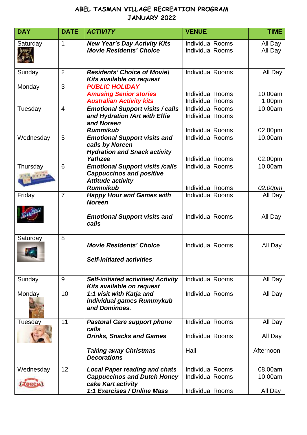| <b>Individual Rooms</b><br>All Day<br><b>Individual Rooms</b><br>All Day<br><b>Individual Rooms</b><br>All Day<br><b>Individual Rooms</b><br>10.00am<br><b>Individual Rooms</b><br>1.00pm<br><b>Individual Rooms</b><br>10.00am |
|---------------------------------------------------------------------------------------------------------------------------------------------------------------------------------------------------------------------------------|
|                                                                                                                                                                                                                                 |
|                                                                                                                                                                                                                                 |
|                                                                                                                                                                                                                                 |
| <b>Individual Rooms</b><br><b>Individual Rooms</b><br>02.00pm                                                                                                                                                                   |
| <b>Individual Rooms</b><br>10.00am<br>02.00pm                                                                                                                                                                                   |
| 10.00am<br><b>Individual Rooms</b><br>02.00pm                                                                                                                                                                                   |
| <b>Individual Rooms</b><br>All Day<br><b>Individual Rooms</b><br>All Day                                                                                                                                                        |
| <b>Individual Rooms</b><br>All Day                                                                                                                                                                                              |
| <b>Individual Rooms</b><br>All Day                                                                                                                                                                                              |
| <b>Individual Rooms</b><br>All Day                                                                                                                                                                                              |
| <b>Individual Rooms</b><br>All Day<br>All Day                                                                                                                                                                                   |
| Afternoon                                                                                                                                                                                                                       |
| <b>Individual Rooms</b><br>08.00am<br><b>Individual Rooms</b><br>10.00am                                                                                                                                                        |
| <b>Individual Rooms</b><br><b>Individual Rooms</b><br><b>Individual Rooms</b>                                                                                                                                                   |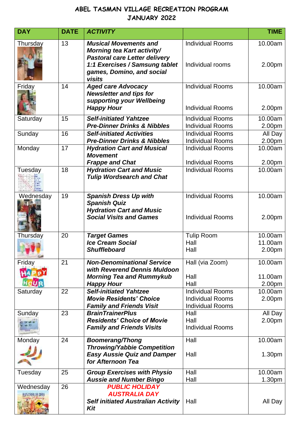| <b>DAY</b>                 | <b>DATE</b> | <b>ACTIVITY</b>                                                                                                                                                                    |                                                                               | <b>TIME</b>                  |
|----------------------------|-------------|------------------------------------------------------------------------------------------------------------------------------------------------------------------------------------|-------------------------------------------------------------------------------|------------------------------|
| Thursday                   | 13          | <b>Musical Movements and</b><br><b>Morning tea Kart activity/</b><br><b>Pastoral care Letter delivery</b><br>1:1 Exercises / Samsung tablet<br>games, Domino, and social<br>visits | <b>Individual Rooms</b><br>Individual rooms                                   | 10.00am<br>2.00pm            |
| Friday                     | 14          | <b>Aged care Advocacy</b><br><b>Newsletter and tips for</b><br>supporting your Wellbeing<br><b>Happy Hour</b>                                                                      | <b>Individual Rooms</b><br><b>Individual Rooms</b>                            | 10.00am<br>2.00pm            |
| Saturday                   | 15          | <b>Self-initiated Yahtzee</b><br><b>Pre-Dinner Drinks &amp; Nibbles</b>                                                                                                            | <b>Individual Rooms</b><br><b>Individual Rooms</b>                            | 10.00am<br>2.00pm            |
| Sunday                     | 16          | <b>Self-initiated Activities</b><br><b>Pre-Dinner Drinks &amp; Nibbles</b>                                                                                                         | <b>Individual Rooms</b><br><b>Individual Rooms</b>                            | All Day<br>2.00pm            |
| Monday                     | 17          | <b>Hydration Cart and Musical</b><br><b>Movement</b><br><b>Frappe and Chat</b>                                                                                                     | <b>Individual Rooms</b><br><b>Individual Rooms</b>                            | 10.00am<br>2.00pm            |
| Tuesday                    | 18          | <b>Hydration Cart and Music</b><br><b>Tulip Wordsearch and Chat</b>                                                                                                                | <b>Individual Rooms</b>                                                       | 10.00am                      |
| Wednesday                  | 19          | <b>Spanish Dress Up with</b><br><b>Spanish Quiz</b><br><b>Hydration Cart and Music</b><br><b>Social Visits and Games</b>                                                           | <b>Individual Rooms</b><br><b>Individual Rooms</b>                            | 10.00am<br>2.00pm            |
| Thursday                   | 20          | <b>Target Games</b><br><b>Ice Cream Social</b><br><b>Shuffleboard</b>                                                                                                              | <b>Tulip Room</b><br>Hall<br>Hall                                             | 10.00am<br>11.00am<br>2.00pm |
| Friday                     | 21          | <b>Non-Denominational Service</b><br>with Reverend Dennis Muldoon<br><b>Morning Tea and Rummykub</b><br><b>Happy Hour</b>                                                          | Hall (via Zoom)<br>Hall<br>Hall                                               | 10.00am<br>11.00am<br>2.00pm |
| Saturday                   | 22          | <b>Self-initiated Yahtzee</b><br><b>Movie Residents' Choice</b><br><b>Family and Friends Visit</b>                                                                                 | <b>Individual Rooms</b><br><b>Individual Rooms</b><br><b>Individual Rooms</b> | 10.00am<br>2.00pm            |
| Sunday                     | 23          | <b>BrainTrainerPlus</b><br><b>Residents' Choice of Movie</b><br><b>Family and Friends Visits</b>                                                                                   | Hall<br>Hall<br><b>Individual Rooms</b>                                       | All Day<br>2.00pm            |
| Monday                     | 24          | <b>Boomerang/Thong</b><br><b>Throwing/Yabbie Competition</b><br><b>Easy Aussie Quiz and Damper</b><br>for Afternoon Tea                                                            | Hall<br>Hall                                                                  | 10.00am<br>1.30pm            |
| Tuesday                    | 25          | <b>Group Exercises with Physio</b><br><b>Aussie and Number Bingo</b>                                                                                                               | Hall<br>Hall                                                                  | 10.00am<br>1.30pm            |
| Wednesday<br>HUSTRALIA DAS | 26          | <b>PUBLIC HOLIDAY</b><br><b>AUSTRALIA DAY</b><br><b>Self initiated Australian Activity</b><br>Kit                                                                                  | Hall                                                                          | All Day                      |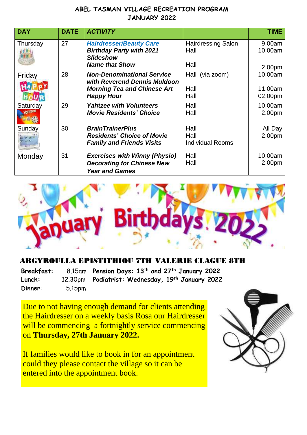| <b>DAY</b> | <b>DATE</b> | <b>ACTIVITY</b>                                                                       |                                   | <b>TIME</b>        |
|------------|-------------|---------------------------------------------------------------------------------------|-----------------------------------|--------------------|
| Thursday   | 27          | <b>Hairdresser/Beauty Care</b><br><b>Birthday Party with 2021</b><br><b>Slideshow</b> | <b>Hairdressing Salon</b><br>Hall | 9.00am<br>10.00am  |
|            |             | <b>Name that Show</b>                                                                 | Hall                              | 2.00 <sub>pm</sub> |
| Friday     | 28          | <b>Non-Denominational Service</b><br>with Reverend Dennis Muldoon                     | Hall (via zoom)                   | 10.00am            |
|            |             | <b>Morning Tea and Chinese Art</b>                                                    | Hall                              | 11.00am            |
|            |             | <b>Happy Hour</b>                                                                     | Hall                              | 02.00pm            |
| Saturday   | 29          | <b>Yahtzee with Volunteers</b><br><b>Movie Residents' Choice</b>                      | Hall<br>Hall                      | 10.00am<br>2.00pm  |
| Sunday     | 30          | <b>BrainTrainerPlus</b>                                                               | Hall                              | All Day            |
|            |             | <b>Residents' Choice of Movie</b><br><b>Family and Friends Visits</b>                 | Hall<br><b>Individual Rooms</b>   | 2.00pm             |
| Monday     | 31          | <b>Exercises with Winny (Physio)</b>                                                  | Hall                              | 10.00am            |
|            |             | <b>Decorating for Chinese New</b><br><b>Year and Games</b>                            | Hall                              | 2.00pm             |



#### **TH VALERIE CLAGUE 8TH**

**Breakfast: Lunch:** 12.30pm **Dinner**: 5.15pm **Pension Days: 13th and 27th January 2022 Podiatrist: Wednesday, 19th January 2022**

Due to not having enough demand for clients attending the Hairdresser on a weekly basis Rosa our Hairdresser will be commencing a fortnightly service commencing on **Thursday, 27th January 2022.**

If families would like to book in for an appointment could they please contact the village so it can be entered into the appointment book.

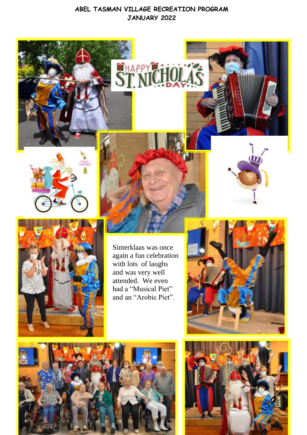CHAPP





Sinterklaas was once again a fun celebration with lots of laughs and was very well attended. We even had a "Musical Piet" and an "Arobic Piet".